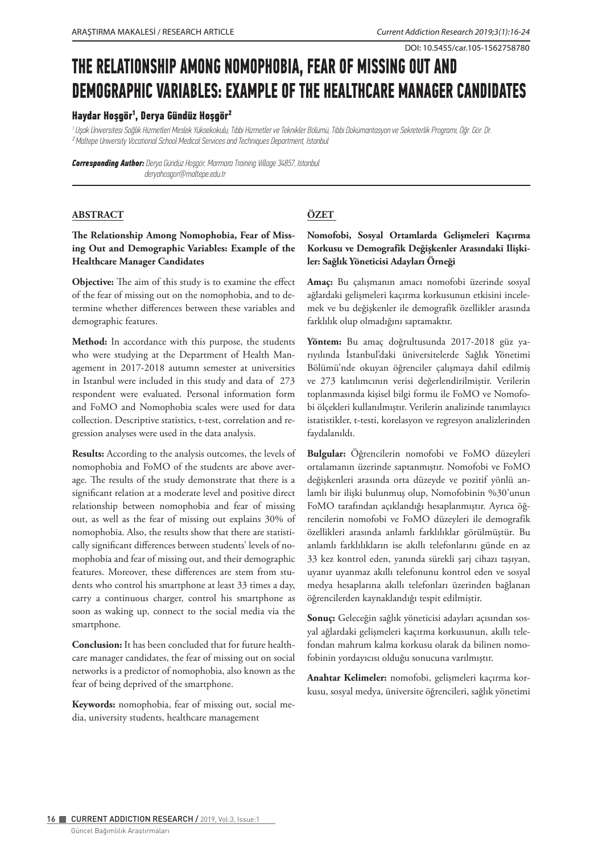DOI: 10.5455/car.105-1562758780

# **THE RELATIONSHIP AMONG NOMOPHOBIA, FEAR OF MISSING OUT AND DEMOGRAPHIC VARIABLES: EXAMPLE OF THE HEALTHCARE MANAGER CANDIDATES**

# **Haydar Hoşgör¹, Derya Gündüz Hoşgör²**

*<sup>1</sup>Uşak Üniversitesi Sağlık Hizmetleri Meslek Yüksekokulu, Tıbbi Hizmetler ve Teknikler Bölümü, Tıbbi Dokümantasyon ve Sekreterlik Programı, Öğr. Gör. Dr. ² Maltepe University Vocational School Medical Services and Techniques Department, Istanbul*

*Corresponding Author: Derya Gündüz Hoşgör, Marmara Training Village 34857, Istanbul deryahosgor@maltepe.edu.tr* 

#### **ABSTRACT**

# **The Relationship Among Nomophobia, Fear of Missing Out and Demographic Variables: Example of the Healthcare Manager Candidates**

**Objective:** The aim of this study is to examine the effect of the fear of missing out on the nomophobia, and to determine whether differences between these variables and demographic features.

**Method:** In accordance with this purpose, the students who were studying at the Department of Health Management in 2017-2018 autumn semester at universities in Istanbul were included in this study and data of 273 respondent were evaluated. Personal information form and FoMO and Nomophobia scales were used for data collection. Descriptive statistics, t-test, correlation and regression analyses were used in the data analysis.

**Results:** According to the analysis outcomes, the levels of nomophobia and FoMO of the students are above average. The results of the study demonstrate that there is a significant relation at a moderate level and positive direct relationship between nomophobia and fear of missing out, as well as the fear of missing out explains 30% of nomophobia. Also, the results show that there are statistically significant differences between students' levels of nomophobia and fear of missing out, and their demographic features. Moreover, these differences are stem from students who control his smartphone at least 33 times a day, carry a continuous charger, control his smartphone as soon as waking up, connect to the social media via the smartphone.

**Conclusion:** It has been concluded that for future healthcare manager candidates, the fear of missing out on social networks is a predictor of nomophobia, also known as the fear of being deprived of the smartphone.

**Keywords:** nomophobia, fear of missing out, social media, university students, healthcare management

# **ÖZET**

# **Nomofobi, Sosyal Ortamlarda Gelişmeleri Kaçırma Korkusu ve Demografik Değişkenler Arasındaki Ilişkiler: Sağlık Yöneticisi Adayları Örneği**

**Amaç:** Bu çalışmanın amacı nomofobi üzerinde sosyal ağlardaki gelişmeleri kaçırma korkusunun etkisini incelemek ve bu değişkenler ile demografik özellikler arasında farklılık olup olmadığını saptamaktır.

**Yöntem:** Bu amaç doğrultusunda 2017-2018 güz yarıyılında İstanbul'daki üniversitelerde Sağlık Yönetimi Bölümü'nde okuyan öğrenciler çalışmaya dahil edilmiş ve 273 katılımcının verisi değerlendirilmiştir. Verilerin toplanmasında kişisel bilgi formu ile FoMO ve Nomofobi ölçekleri kullanılmıştır. Verilerin analizinde tanımlayıcı istatistikler, t-testi, korelasyon ve regresyon analizlerinden faydalanıldı.

**Bulgular:** Öğrencilerin nomofobi ve FoMO düzeyleri ortalamanın üzerinde saptanmıştır. Nomofobi ve FoMO değişkenleri arasında orta düzeyde ve pozitif yönlü anlamlı bir ilişki bulunmuş olup, Nomofobinin %30'unun FoMO tarafından açıklandığı hesaplanmıştır. Ayrıca öğrencilerin nomofobi ve FoMO düzeyleri ile demografik özellikleri arasında anlamlı farklılıklar görülmüştür. Bu anlamlı farklılıkların ise akıllı telefonlarını günde en az 33 kez kontrol eden, yanında sürekli şarj cihazı taşıyan, uyanır uyanmaz akıllı telefonunu kontrol eden ve sosyal medya hesaplarına akıllı telefonları üzerinden bağlanan öğrencilerden kaynaklandığı tespit edilmiştir.

**Sonuç:** Geleceğin sağlık yöneticisi adayları açısından sosyal ağlardaki gelişmeleri kaçırma korkusunun, akıllı telefondan mahrum kalma korkusu olarak da bilinen nomofobinin yordayıcısı olduğu sonucuna varılmıştır.

**Anahtar Kelimeler:** nomofobi, gelişmeleri kaçırma korkusu, sosyal medya, üniversite öğrencileri, sağlık yönetimi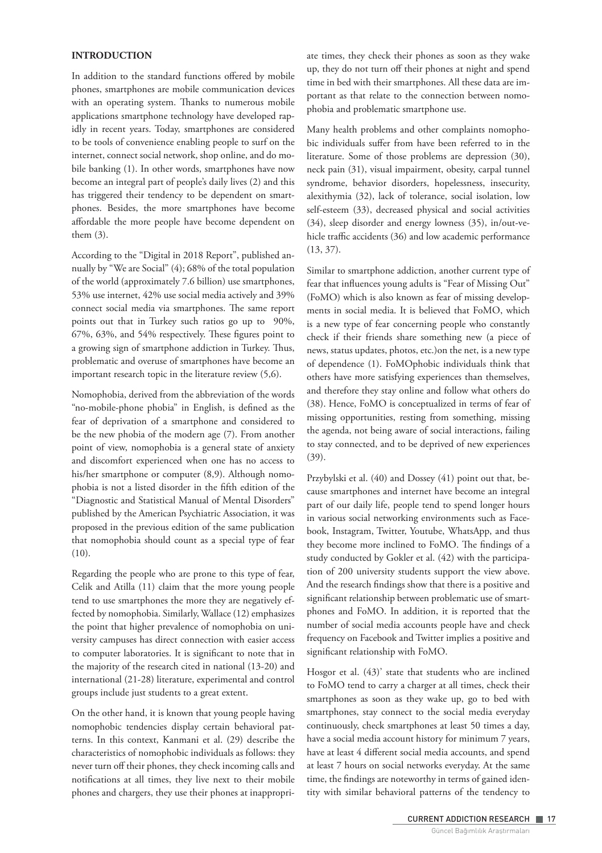## **INTRODUCTION**

In addition to the standard functions offered by mobile phones, smartphones are mobile communication devices with an operating system. Thanks to numerous mobile applications smartphone technology have developed rapidly in recent years. Today, smartphones are considered to be tools of convenience enabling people to surf on the internet, connect social network, shop online, and do mobile banking (1). In other words, smartphones have now become an integral part of people's daily lives (2) and this has triggered their tendency to be dependent on smartphones. Besides, the more smartphones have become affordable the more people have become dependent on them (3).

According to the "Digital in 2018 Report", published annually by "We are Social" (4); 68% of the total population of the world (approximately 7.6 billion) use smartphones, 53% use internet, 42% use social media actively and 39% connect social media via smartphones. The same report points out that in Turkey such ratios go up to 90%, 67%, 63%, and 54% respectively. These figures point to a growing sign of smartphone addiction in Turkey. Thus, problematic and overuse of smartphones have become an important research topic in the literature review (5,6).

Nomophobia, derived from the abbreviation of the words "no-mobile-phone phobia" in English, is defined as the fear of deprivation of a smartphone and considered to be the new phobia of the modern age (7). From another point of view, nomophobia is a general state of anxiety and discomfort experienced when one has no access to his/her smartphone or computer (8,9). Although nomophobia is not a listed disorder in the fifth edition of the "Diagnostic and Statistical Manual of Mental Disorders" published by the American Psychiatric Association, it was proposed in the previous edition of the same publication that nomophobia should count as a special type of fear (10).

Regarding the people who are prone to this type of fear, Celik and Atilla (11) claim that the more young people tend to use smartphones the more they are negatively effected by nomophobia. Similarly, Wallace (12) emphasizes the point that higher prevalence of nomophobia on university campuses has direct connection with easier access to computer laboratories. It is significant to note that in the majority of the research cited in national (13-20) and international (21-28) literature, experimental and control groups include just students to a great extent.

On the other hand, it is known that young people having nomophobic tendencies display certain behavioral patterns. In this context, Kanmani et al. (29) describe the characteristics of nomophobic individuals as follows: they never turn off their phones, they check incoming calls and notifications at all times, they live next to their mobile phones and chargers, they use their phones at inappropriate times, they check their phones as soon as they wake up, they do not turn off their phones at night and spend time in bed with their smartphones. All these data are important as that relate to the connection between nomophobia and problematic smartphone use.

Many health problems and other complaints nomophobic individuals suffer from have been referred to in the literature. Some of those problems are depression (30), neck pain (31), visual impairment, obesity, carpal tunnel syndrome, behavior disorders, hopelessness, insecurity, alexithymia (32), lack of tolerance, social isolation, low self-esteem (33), decreased physical and social activities (34), sleep disorder and energy lowness (35), in/out-vehicle traffic accidents (36) and low academic performance (13, 37).

Similar to smartphone addiction, another current type of fear that influences young adults is "Fear of Missing Out" (FoMO) which is also known as fear of missing developments in social media. It is believed that FoMO, which is a new type of fear concerning people who constantly check if their friends share something new (a piece of news, status updates, photos, etc.)on the net, is a new type of dependence (1). FoMOphobic individuals think that others have more satisfying experiences than themselves, and therefore they stay online and follow what others do (38). Hence, FoMO is conceptualized in terms of fear of missing opportunities, resting from something, missing the agenda, not being aware of social interactions, failing to stay connected, and to be deprived of new experiences (39).

Przybylski et al. (40) and Dossey (41) point out that, because smartphones and internet have become an integral part of our daily life, people tend to spend longer hours in various social networking environments such as Facebook, Instagram, Twitter, Youtube, WhatsApp, and thus they become more inclined to FoMO. The findings of a study conducted by Gokler et al. (42) with the participation of 200 university students support the view above. And the research findings show that there is a positive and significant relationship between problematic use of smartphones and FoMO. In addition, it is reported that the number of social media accounts people have and check frequency on Facebook and Twitter implies a positive and significant relationship with FoMO.

Hosgor et al. (43)' state that students who are inclined to FoMO tend to carry a charger at all times, check their smartphones as soon as they wake up, go to bed with smartphones, stay connect to the social media everyday continuously, check smartphones at least 50 times a day, have a social media account history for minimum 7 years, have at least 4 different social media accounts, and spend at least 7 hours on social networks everyday. At the same time, the findings are noteworthy in terms of gained identity with similar behavioral patterns of the tendency to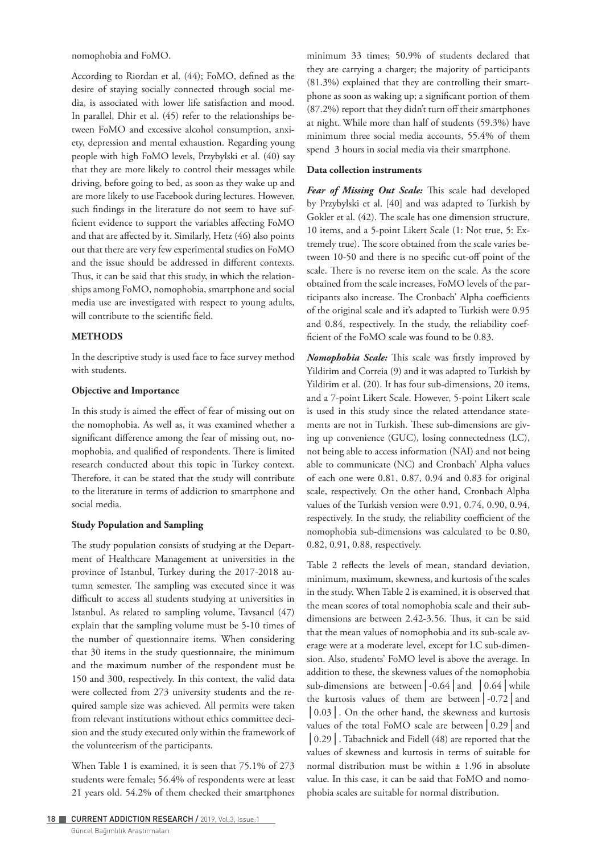nomophobia and FoMO.

According to Riordan et al. (44); FoMO, defined as the desire of staying socially connected through social media, is associated with lower life satisfaction and mood. In parallel, Dhir et al. (45) refer to the relationships between FoMO and excessive alcohol consumption, anxiety, depression and mental exhaustion. Regarding young people with high FoMO levels, Przybylski et al. (40) say that they are more likely to control their messages while driving, before going to bed, as soon as they wake up and are more likely to use Facebook during lectures. However, such findings in the literature do not seem to have sufficient evidence to support the variables affecting FoMO and that are affected by it. Similarly, Hetz (46) also points out that there are very few experimental studies on FoMO and the issue should be addressed in different contexts. Thus, it can be said that this study, in which the relationships among FoMO, nomophobia, smartphone and social media use are investigated with respect to young adults, will contribute to the scientific field.

# **METHODS**

In the descriptive study is used face to face survey method with students.

#### **Objective and Importance**

In this study is aimed the effect of fear of missing out on the nomophobia. As well as, it was examined whether a significant difference among the fear of missing out, nomophobia, and qualified of respondents. There is limited research conducted about this topic in Turkey context. Therefore, it can be stated that the study will contribute to the literature in terms of addiction to smartphone and social media.

#### **Study Population and Sampling**

The study population consists of studying at the Department of Healthcare Management at universities in the province of Istanbul, Turkey during the 2017-2018 autumn semester. The sampling was executed since it was difficult to access all students studying at universities in Istanbul. As related to sampling volume, Tavsancıl (47) explain that the sampling volume must be 5-10 times of the number of questionnaire items. When considering that 30 items in the study questionnaire, the minimum and the maximum number of the respondent must be 150 and 300, respectively. In this context, the valid data were collected from 273 university students and the required sample size was achieved. All permits were taken from relevant institutions without ethics committee decision and the study executed only within the framework of the volunteerism of the participants.

When Table 1 is examined, it is seen that 75.1% of 273 students were female; 56.4% of respondents were at least 21 years old. 54.2% of them checked their smartphones

Güncel Bağımlılık Araştırmaları

minimum 33 times; 50.9% of students declared that they are carrying a charger; the majority of participants (81.3%) explained that they are controlling their smartphone as soon as waking up; a significant portion of them (87.2%) report that they didn't turn off their smartphones at night. While more than half of students (59.3%) have minimum three social media accounts, 55.4% of them spend 3 hours in social media via their smartphone.

# **Data collection instruments**

*Fear of Missing Out Scale:* This scale had developed by Przybylski et al. [40] and was adapted to Turkish by Gokler et al. (42). The scale has one dimension structure, 10 items, and a 5-point Likert Scale (1: Not true, 5: Extremely true). The score obtained from the scale varies between 10-50 and there is no specific cut-off point of the scale. There is no reverse item on the scale. As the score obtained from the scale increases, FoMO levels of the participants also increase. The Cronbach' Alpha coefficients of the original scale and it's adapted to Turkish were 0.95 and 0.84, respectively. In the study, the reliability coefficient of the FoMO scale was found to be 0.83.

*Nomophobia Scale:* This scale was firstly improved by Yildirim and Correia (9) and it was adapted to Turkish by Yildirim et al. (20). It has four sub-dimensions, 20 items, and a 7-point Likert Scale. However, 5-point Likert scale is used in this study since the related attendance statements are not in Turkish. These sub-dimensions are giving up convenience (GUC), losing connectedness (LC), not being able to access information (NAI) and not being able to communicate (NC) and Cronbach' Alpha values of each one were 0.81, 0.87, 0.94 and 0.83 for original scale, respectively. On the other hand, Cronbach Alpha values of the Turkish version were 0.91, 0.74, 0.90, 0.94, respectively. In the study, the reliability coefficient of the nomophobia sub-dimensions was calculated to be 0.80, 0.82, 0.91, 0.88, respectively.

Table 2 reflects the levels of mean, standard deviation, minimum, maximum, skewness, and kurtosis of the scales in the study. When Table 2 is examined, it is observed that the mean scores of total nomophobia scale and their subdimensions are between 2.42-3.56. Thus, it can be said that the mean values of nomophobia and its sub-scale average were at a moderate level, except for LC sub-dimension. Also, students' FoMO level is above the average. In addition to these, the skewness values of the nomophobia sub-dimensions are between**│**-0.64**│**and **│**0.64**│**while the kurtosis values of them are between**│**-0.72**│**and **│**0.03**│**. On the other hand, the skewness and kurtosis values of the total FoMO scale are between**│**0.29**│**and **│**0.29**│**. Tabachnick and Fidell (48) are reported that the values of skewness and kurtosis in terms of suitable for normal distribution must be within ± 1.96 in absolute value. In this case, it can be said that FoMO and nomophobia scales are suitable for normal distribution.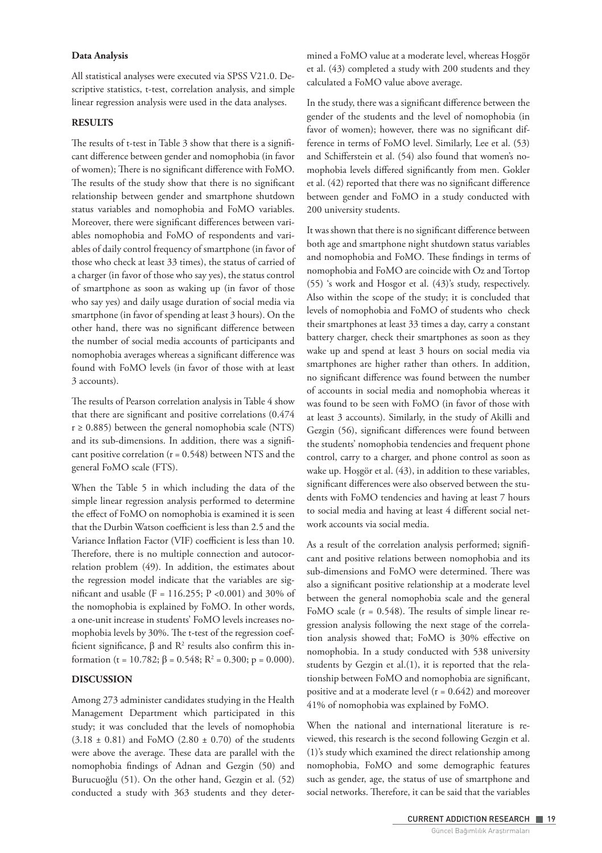#### **Data Analysis**

All statistical analyses were executed via SPSS V21.0. Descriptive statistics, t-test, correlation analysis, and simple linear regression analysis were used in the data analyses.

#### **RESULTS**

The results of t-test in Table 3 show that there is a significant difference between gender and nomophobia (in favor of women); There is no significant difference with FoMO. The results of the study show that there is no significant relationship between gender and smartphone shutdown status variables and nomophobia and FoMO variables. Moreover, there were significant differences between variables nomophobia and FoMO of respondents and variables of daily control frequency of smartphone (in favor of those who check at least 33 times), the status of carried of a charger (in favor of those who say yes), the status control of smartphone as soon as waking up (in favor of those who say yes) and daily usage duration of social media via smartphone (in favor of spending at least 3 hours). On the other hand, there was no significant difference between the number of social media accounts of participants and nomophobia averages whereas a significant difference was found with FoMO levels (in favor of those with at least 3 accounts).

The results of Pearson correlation analysis in Table 4 show that there are significant and positive correlations (0.474  $r \ge 0.885$ ) between the general nomophobia scale (NTS) and its sub-dimensions. In addition, there was a significant positive correlation ( $r = 0.548$ ) between NTS and the general FoMO scale (FTS).

When the Table 5 in which including the data of the simple linear regression analysis performed to determine the effect of FoMO on nomophobia is examined it is seen that the Durbin Watson coefficient is less than 2.5 and the Variance Inflation Factor (VIF) coefficient is less than 10. Therefore, there is no multiple connection and autocorrelation problem (49). In addition, the estimates about the regression model indicate that the variables are significant and usable (F = 116.255; P <0.001) and 30% of the nomophobia is explained by FoMO. In other words, a one-unit increase in students' FoMO levels increases nomophobia levels by 30%. The t-test of the regression coefficient significance,  $β$  and  $R²$  results also confirm this information (t = 10.782; β = 0.548; R<sup>2</sup> = 0.300; p = 0.000).

#### **DISCUSSION**

Among 273 administer candidates studying in the Health Management Department which participated in this study; it was concluded that the levels of nomophobia  $(3.18 \pm 0.81)$  and FoMO (2.80  $\pm$  0.70) of the students were above the average. These data are parallel with the nomophobia findings of Adnan and Gezgin (50) and Burucuoğlu (51). On the other hand, Gezgin et al. (52) conducted a study with 363 students and they determined a FoMO value at a moderate level, whereas Hoşgör et al. (43) completed a study with 200 students and they calculated a FoMO value above average.

In the study, there was a significant difference between the gender of the students and the level of nomophobia (in favor of women); however, there was no significant difference in terms of FoMO level. Similarly, Lee et al. (53) and Schifferstein et al. (54) also found that women's nomophobia levels differed significantly from men. Gokler et al. (42) reported that there was no significant difference between gender and FoMO in a study conducted with 200 university students.

It was shown that there is no significant difference between both age and smartphone night shutdown status variables and nomophobia and FoMO. These findings in terms of nomophobia and FoMO are coincide with Oz and Tortop (55) 's work and Hosgor et al. (43)'s study, respectively. Also within the scope of the study; it is concluded that levels of nomophobia and FoMO of students who check their smartphones at least 33 times a day, carry a constant battery charger, check their smartphones as soon as they wake up and spend at least 3 hours on social media via smartphones are higher rather than others. In addition, no significant difference was found between the number of accounts in social media and nomophobia whereas it was found to be seen with FoMO (in favor of those with at least 3 accounts). Similarly, in the study of Akilli and Gezgin (56), significant differences were found between the students' nomophobia tendencies and frequent phone control, carry to a charger, and phone control as soon as wake up. Hoşgör et al. (43), in addition to these variables, significant differences were also observed between the students with FoMO tendencies and having at least 7 hours to social media and having at least 4 different social network accounts via social media.

As a result of the correlation analysis performed; significant and positive relations between nomophobia and its sub-dimensions and FoMO were determined. There was also a significant positive relationship at a moderate level between the general nomophobia scale and the general FoMO scale ( $r = 0.548$ ). The results of simple linear regression analysis following the next stage of the correlation analysis showed that; FoMO is 30% effective on nomophobia. In a study conducted with 538 university students by Gezgin et al.(1), it is reported that the relationship between FoMO and nomophobia are significant, positive and at a moderate level ( $r = 0.642$ ) and moreover 41% of nomophobia was explained by FoMO.

When the national and international literature is reviewed, this research is the second following Gezgin et al. (1)'s study which examined the direct relationship among nomophobia, FoMO and some demographic features such as gender, age, the status of use of smartphone and social networks. Therefore, it can be said that the variables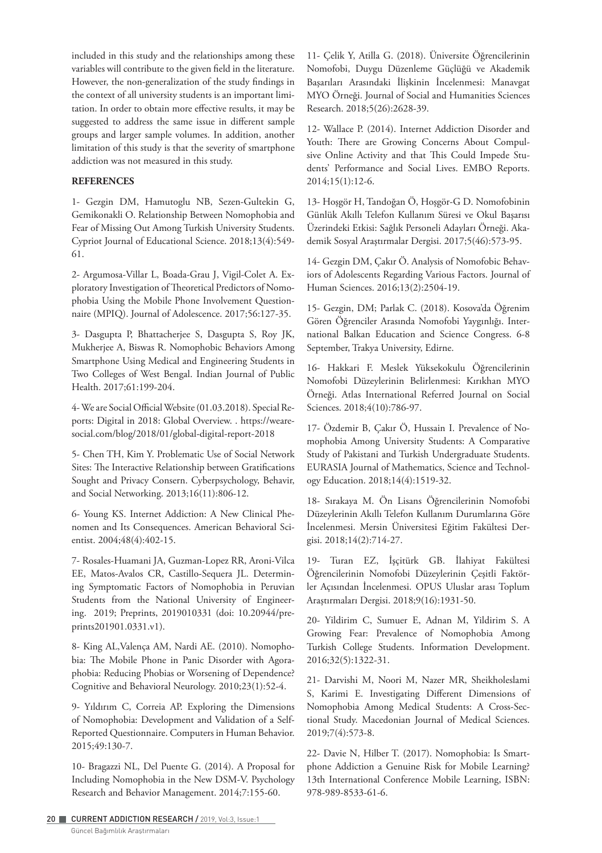included in this study and the relationships among these variables will contribute to the given field in the literature. However, the non-generalization of the study findings in the context of all university students is an important limitation. In order to obtain more effective results, it may be suggested to address the same issue in different sample groups and larger sample volumes. In addition, another limitation of this study is that the severity of smartphone addiction was not measured in this study.

### **REFERENCES**

1- Gezgin DM, Hamutoglu NB, Sezen-Gultekin G, Gemikonakli O. Relationship Between Nomophobia and Fear of Missing Out Among Turkish University Students. Cypriot Journal of Educational Science. 2018;13(4):549- 61.

2- Argumosa-Villar L, Boada-Grau J, Vigil-Colet A. Exploratory Investigation of Theoretical Predictors of Nomophobia Using the Mobile Phone Involvement Questionnaire (MPIQ). Journal of Adolescence. 2017;56:127-35.

3- Dasgupta P, Bhattacherjee S, Dasgupta S, Roy JK, Mukherjee A, Biswas R. Nomophobic Behaviors Among Smartphone Using Medical and Engineering Students in Two Colleges of West Bengal. Indian Journal of Public Health. 2017;61:199-204.

4- We are Social Official Website (01.03.2018). Special Reports: Digital in 2018: Global Overview. . https://wearesocial.com/blog/2018/01/global-digital-report-2018

5- Chen TH, Kim Y. Problematic Use of Social Network Sites: The Interactive Relationship between Gratifications Sought and Privacy Consern. Cyberpsychology, Behavir, and Social Networking. 2013;16(11):806-12.

6- Young KS. Internet Addiction: A New Clinical Phenomen and Its Consequences. American Behavioral Scientist. 2004;48(4):402-15.

7- Rosales-Huamani JA, Guzman-Lopez RR, Aroni-Vilca EE, Matos-Avalos CR, Castillo-Sequera JL. Determining Symptomatic Factors of Nomophobia in Peruvian Students from the National University of Engineering. 2019; Preprints, 2019010331 (doi: 10.20944/preprints201901.0331.v1).

8- King AL,Valença AM, Nardi AE. (2010). Nomophobia: The Mobile Phone in Panic Disorder with Agoraphobia: Reducing Phobias or Worsening of Dependence? Cognitive and Behavioral Neurology. 2010;23(1):52-4.

9- Yıldırım C, Correia AP. Exploring the Dimensions of Nomophobia: Development and Validation of a Self-Reported Questionnaire. Computers in Human Behavior. 2015;49:130-7.

10- Bragazzi NL, Del Puente G. (2014). A Proposal for Including Nomophobia in the New DSM-V. Psychology Research and Behavior Management. 2014;7:155-60.

11- Çelik Y, Atilla G. (2018). Üniversite Öğrencilerinin Nomofobi, Duygu Düzenleme Güçlüğü ve Akademik Başarıları Arasındaki İlişkinin İncelenmesi: Manavgat MYO Örneği. Journal of Social and Humanities Sciences Research. 2018;5(26):2628-39.

12- Wallace P. (2014). Internet Addiction Disorder and Youth: There are Growing Concerns About Compulsive Online Activity and that This Could Impede Students' Performance and Social Lives. EMBO Reports. 2014;15(1):12-6.

13- Hoşgör H, Tandoğan Ö, Hoşgör-G D. Nomofobinin Günlük Akıllı Telefon Kullanım Süresi ve Okul Başarısı Üzerindeki Etkisi: Sağlık Personeli Adayları Örneği. Akademik Sosyal Araştırmalar Dergisi. 2017;5(46):573-95.

14- Gezgin DM, Çakır Ö. Analysis of Nomofobic Behaviors of Adolescents Regarding Various Factors. Journal of Human Sciences. 2016;13(2):2504-19.

15- Gezgin, DM; Parlak C. (2018). Kosova'da Öğrenim Gören Öğrenciler Arasında Nomofobi Yaygınlığı. International Balkan Education and Science Congress. 6-8 September, Trakya University, Edirne.

16- Hakkari F. Meslek Yüksekokulu Öğrencilerinin Nomofobi Düzeylerinin Belirlenmesi: Kırıkhan MYO Örneği. Atlas International Referred Journal on Social Sciences. 2018;4(10):786-97.

17- Özdemir B, Çakır Ö, Hussain I. Prevalence of Nomophobia Among University Students: A Comparative Study of Pakistani and Turkish Undergraduate Students. EURASIA Journal of Mathematics, Science and Technology Education. 2018;14(4):1519-32.

18- Sırakaya M. Ön Lisans Öğrencilerinin Nomofobi Düzeylerinin Akıllı Telefon Kullanım Durumlarına Göre İncelenmesi. Mersin Üniversitesi Eğitim Fakültesi Dergisi. 2018;14(2):714-27.

19- Turan EZ, İşçitürk GB. İlahiyat Fakültesi Öğrencilerinin Nomofobi Düzeylerinin Çeşitli Faktörler Açısından İncelenmesi. OPUS Uluslar arası Toplum Araştırmaları Dergisi. 2018;9(16):1931-50.

20- Yildirim C, Sumuer E, Adnan M, Yildirim S. A Growing Fear: Prevalence of Nomophobia Among Turkish College Students. Information Development. 2016;32(5):1322-31.

21- Darvishi M, Noori M, Nazer MR, Sheikholeslami S, Karimi E. Investigating Different Dimensions of Nomophobia Among Medical Students: A Cross-Sectional Study. Macedonian Journal of Medical Sciences. 2019;7(4):573-8.

22- Davie N, Hilber T. (2017). Nomophobia: Is Smartphone Addiction a Genuine Risk for Mobile Learning? 13th International Conference Mobile Learning, ISBN: 978-989-8533-61-6.

20 CURRENT ADDICTION RESEARCH / 2019, Vol:3, Issue:1

Güncel Bağımlılık Araştırmaları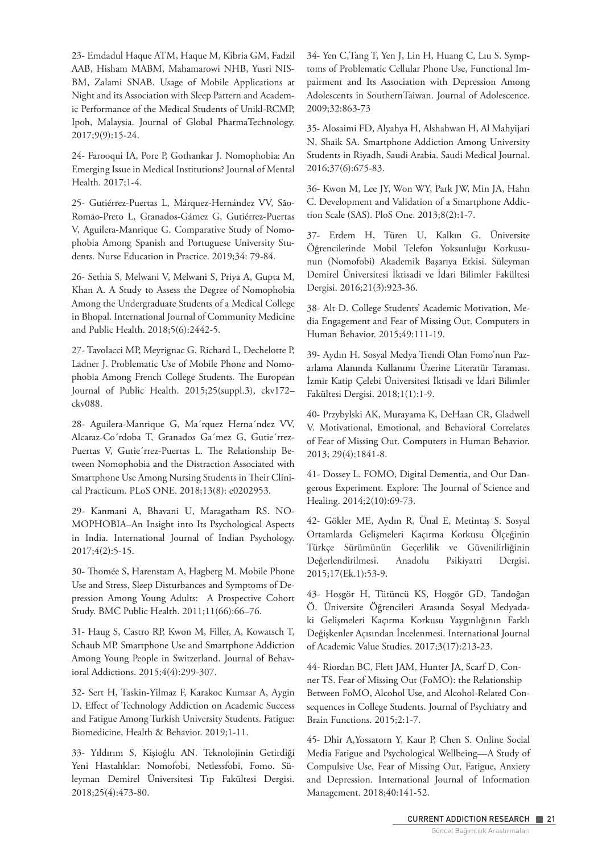23- Emdadul Haque ATM, Haque M, Kibria GM, Fadzil AAB, Hisham MABM, Mahamarowi NHB, Yusri NIS-BM, Zalami SNAB. Usage of Mobile Applications at Night and its Association with Sleep Pattern and Academic Performance of the Medical Students of Unikl‐RCMP, Ipoh, Malaysia. Journal of Global PharmaTechnology. 2017;9(9):15-24.

24- Farooqui IA, Pore P, Gothankar J. Nomophobia: An Emerging Issue in Medical Institutions? Journal of Mental Health. 2017;1-4.

25- Gutiérrez-Puertas L, Márquez-Hernández VV, São-Romão-Preto L, Granados-Gámez G, Gutiérrez-Puertas V, Aguilera-Manrique G. Comparative Study of Nomophobia Among Spanish and Portuguese University Students. Nurse Education in Practice. 2019;34: 79-84.

26- Sethia S, Melwani V, Melwani S, Priya A, Gupta M, Khan A. A Study to Assess the Degree of Nomophobia Among the Undergraduate Students of a Medical College in Bhopal. International Journal of Community Medicine and Public Health. 2018;5(6):2442-5.

27- Tavolacci MP, Meyrignac G, Richard L, Dechelotte P, Ladner J. Problematic Use of Mobile Phone and Nomophobia Among French College Students. The European Journal of Public Health. 2015;25(suppl.3), ckv172– ckv088.

28- Aguilera-Manrique G, Ma´rquez Herna´ndez VV, Alcaraz-Co´rdoba T, Granados Ga´mez G, Gutie´rrez-Puertas V, Gutie´rrez-Puertas L. The Relationship Between Nomophobia and the Distraction Associated with Smartphone Use Among Nursing Students in Their Clinical Practicum. PLoS ONE. 2018;13(8): e0202953.

29- Kanmani A, Bhavani U, Maragatham RS. NO-MOPHOBIA–An Insight into Its Psychological Aspects in India. International Journal of Indian Psychology. 2017;4(2):5-15.

30- Thomée S, Harenstam A, Hagberg M. Mobile Phone Use and Stress, Sleep Disturbances and Symptoms of Depression Among Young Adults: A Prospective Cohort Study. BMC Public Health. 2011;11(66):66–76.

31- Haug S, Castro RP, Kwon M, Filler, A, Kowatsch T, Schaub MP. Smartphone Use and Smartphone Addiction Among Young People in Switzerland. Journal of Behavioral Addictions. 2015;4(4):299-307.

32- Sert H, Taskin-Yilmaz F, Karakoc Kumsar A, Aygin D. Effect of Technology Addiction on Academic Success and Fatigue Among Turkish University Students. Fatigue: Biomedicine, Health & Behavior. 2019;1-11.

33- Yıldırım S, Kişioğlu AN. Teknolojinin Getirdiği Yeni Hastalıklar: Nomofobi, Netlessfobi, Fomo. Süleyman Demirel Üniversitesi Tıp Fakültesi Dergisi. 2018;25(4):473-80.

34- Yen C,Tang T, Yen J, Lin H, Huang C, Lıu S. Symptoms of Problematic Cellular Phone Use, Functional Impairment and Its Association with Depression Among Adolescents in SouthernTaiwan. Journal of Adolescence. 2009;32:863-73

35- Alosaimi FD, Alyahya H, Alshahwan H, Al Mahyijari N, Shaik SA. Smartphone Addiction Among University Students in Riyadh, Saudi Arabia. Saudi Medical Journal. 2016;37(6):675-83.

36- Kwon M, Lee JY, Won WY, Park JW, Min JA, Hahn C. Development and Validation of a Smartphone Addiction Scale (SAS). PloS One. 2013;8(2):1-7.

37- Erdem H, Türen U, Kalkın G. Üniversite Öğrencilerinde Mobil Telefon Yoksunluğu Korkusunun (Nomofobi) Akademik Başarıya Etkisi. Süleyman Demirel Üniversitesi İktisadi ve İdari Bilimler Fakültesi Dergisi. 2016;21(3):923-36.

38- Alt D. College Students' Academic Motivation, Media Engagement and Fear of Missing Out. Computers in Human Behavior. 2015;49:111-19.

39- Aydın H. Sosyal Medya Trendi Olan Fomo'nun Pazarlama Alanında Kullanımı Üzerine Literatür Taraması. İzmir Katip Çelebi Üniversitesi İktisadi ve İdari Bilimler Fakültesi Dergisi. 2018;1(1):1-9.

40- Przybylski AK, Murayama K, DeHaan CR, Gladwell V. Motivational, Emotional, and Behavioral Correlates of Fear of Missing Out. Computers in Human Behavior. 2013; 29(4):1841-8.

41- Dossey L. FOMO, Digital Dementia, and Our Dangerous Experiment. Explore: The Journal of Science and Healing. 2014;2(10):69-73.

42- Gökler ME, Aydın R, Ünal E, Metintaş S. Sosyal Ortamlarda Gelişmeleri Kaçırma Korkusu Ölçeğinin Türkçe Sürümünün Geçerlilik ve Güvenilirliğinin Değerlendirilmesi. Anadolu Psikiyatri Dergisi. 2015;17(Ek.1):53-9.

43- Hoşgör H, Tütüncü KS, Hoşgör GD, Tandoğan Ö. Üniversite Öğrencileri Arasında Sosyal Medyadaki Gelişmeleri Kaçırma Korkusu Yaygınlığının Farklı Değişkenler Açısından İncelenmesi. International Journal of Academic Value Studies. 2017;3(17):213-23.

44- Riordan BC, Flett JAM, Hunter JA, Scarf D, Conner TS. Fear of Missing Out (FoMO): the Relationship Between FoMO, Alcohol Use, and Alcohol-Related Consequences in College Students. Journal of Psychiatry and Brain Functions. 2015;2:1-7.

45- Dhir A,Yossatorn Y, Kaur P, Chen S. Online Social Media Fatigue and Psychological Wellbeing—A Study of Compulsive Use, Fear of Missing Out, Fatigue, Anxiety and Depression. International Journal of Information Management. 2018;40:141-52.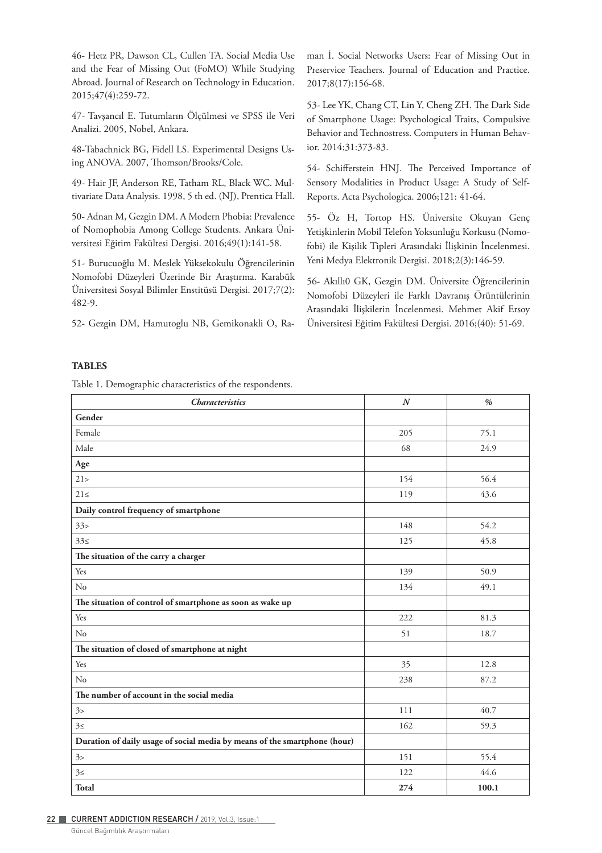46- Hetz PR, Dawson CL, Cullen TA. Social Media Use and the Fear of Missing Out (FoMO) While Studying Abroad. Journal of Research on Technology in Education. 2015;47(4):259-72.

47- Tavşancıl E. Tutumların Ölçülmesi ve SPSS ile Veri Analizi. 2005, Nobel, Ankara.

48-Tabachnick BG, Fidell LS. Experimental Designs Using ANOVA. 2007, Thomson/Brooks/Cole.

49- Hair JF, Anderson RE, Tatham RL, Black WC. Multivariate Data Analysis. 1998, 5 th ed. (NJ), Prentica Hall.

50- Adnan M, Gezgin DM. A Modern Phobia: Prevalence of Nomophobia Among College Students. Ankara Üniversitesi Eğitim Fakültesi Dergisi. 2016;49(1):141-58.

51- Burucuoğlu M. Meslek Yüksekokulu Öğrencilerinin Nomofobi Düzeyleri Üzerinde Bir Araştırma. Karabük Üniversitesi Sosyal Bilimler Enstitüsü Dergisi. 2017;7(2): 482-9.

52- Gezgin DM, Hamutoglu NB, Gemikonakli O, Ra-

man İ. Social Networks Users: Fear of Missing Out in Preservice Teachers. Journal of Education and Practice. 2017;8(17):156-68.

53- Lee YK, Chang CT, Lin Y, Cheng ZH. The Dark Side of Smartphone Usage: Psychological Traits, Compulsive Behavior and Technostress. Computers in Human Behavior. 2014;31:373-83.

54- Schifferstein HNJ. The Perceived Importance of Sensory Modalities in Product Usage: A Study of Self-Reports. Acta Psychologica. 2006;121: 41-64.

55- Öz H, Tortop HS. Üniversite Okuyan Genç Yetişkinlerin Mobil Telefon Yoksunluğu Korkusu (Nomofobi) ile Kişilik Tipleri Arasındaki İlişkinin İncelenmesi. Yeni Medya Elektronik Dergisi. 2018;2(3):146-59.

56- Akıllı0 GK, Gezgin DM. Üniversite Öğrencilerinin Nomofobi Düzeyleri ile Farklı Davranış Örüntülerinin Arasındaki İlişkilerin İncelenmesi. Mehmet Akif Ersoy Üniversitesi Eğitim Fakültesi Dergisi. 2016;(40): 51-69.

#### **TABLES**

Table 1. Demographic characteristics of the respondents.

| <b>Characteristics</b>                                                    | $\cal N$ | $\%$  |
|---------------------------------------------------------------------------|----------|-------|
| Gender                                                                    |          |       |
| Female                                                                    | 205      | 75.1  |
| Male                                                                      | 68       | 24.9  |
| Age                                                                       |          |       |
| 21 >                                                                      | 154      | 56.4  |
| $21 \leq$                                                                 | 119      | 43.6  |
| Daily control frequency of smartphone                                     |          |       |
| 33 >                                                                      | 148      | 54.2  |
| 33<                                                                       | 125      | 45.8  |
| The situation of the carry a charger                                      |          |       |
| Yes                                                                       | 139      | 50.9  |
| No                                                                        | 134      | 49.1  |
| The situation of control of smartphone as soon as wake up                 |          |       |
| Yes                                                                       | 222      | 81.3  |
| No                                                                        | 51       | 18.7  |
| The situation of closed of smartphone at night                            |          |       |
| Yes                                                                       | 35       | 12.8  |
| No                                                                        | 238      | 87.2  |
| The number of account in the social media                                 |          |       |
| 3>                                                                        | 111      | 40.7  |
| 355                                                                       | 162      | 59.3  |
| Duration of daily usage of social media by means of the smartphone (hour) |          |       |
| 3>                                                                        | 151      | 55.4  |
| $3 \le$                                                                   | 122      | 44.6  |
| Total                                                                     | 274      | 100.1 |

Güncel Bağımlılık Araştırmaları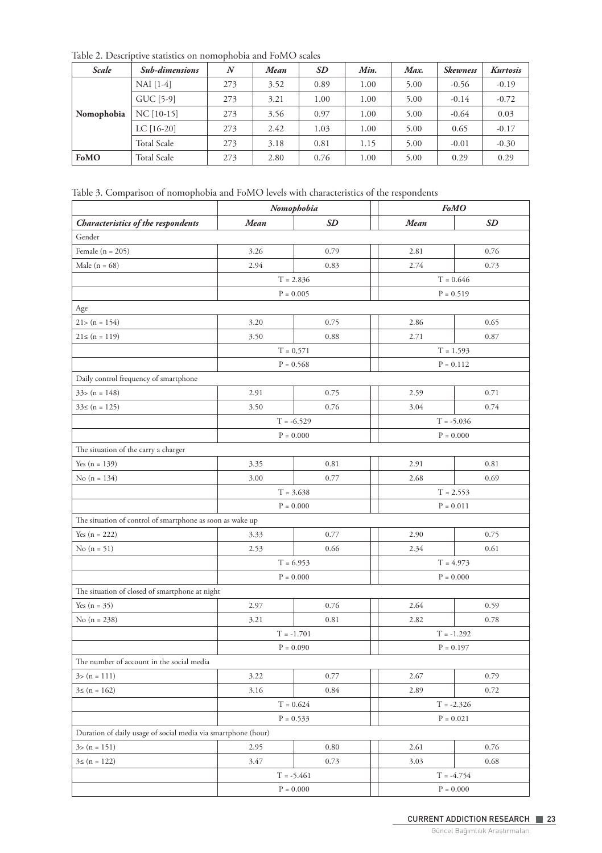Table 2. Descriptive statistics on nomophobia and FoMO scales

| <b>Scale</b> | <b>Sub-dimensions</b> | $\boldsymbol{N}$ | Mean | <b>SD</b> | Min. | Max. | <b>Skewness</b> | <b>Kurtosis</b> |
|--------------|-----------------------|------------------|------|-----------|------|------|-----------------|-----------------|
|              | NAI [1-4]             | 273              | 3.52 | 0.89      | 1.00 | 5.00 | $-0.56$         | $-0.19$         |
|              | GUC [5-9]             | 273              | 3.21 | 1.00      | 1.00 | 5.00 | $-0.14$         | $-0.72$         |
| Nomophobia   | $NC$ [10-15]          | 273              | 3.56 | 0.97      | 1.00 | 5.00 | $-0.64$         | 0.03            |
|              | LC $[16-20]$          | 273              | 2.42 | 1.03      | 1.00 | 5.00 | 0.65            | $-0.17$         |
|              | <b>Total Scale</b>    | 273              | 3.18 | 0.81      | 1.15 | 5.00 | $-0.01$         | $-0.30$         |
| FoMO         | <b>Total Scale</b>    | 273              | 2.80 | 0.76      | 1.00 | 5.00 | 0.29            | 0.29            |

Table 3. Comparison of nomophobia and FoMO levels with characteristics of the respondents

|                                                               |              | Nomophobia        | <b>FoMO</b>       |           |  |
|---------------------------------------------------------------|--------------|-------------------|-------------------|-----------|--|
| Characteristics of the respondents                            | <b>Mean</b>  | <b>SD</b>         | <b>Mean</b>       | <b>SD</b> |  |
| Gender                                                        |              |                   |                   |           |  |
| Female $(n = 205)$                                            | 3.26         | 0.79              | 2.81              | 0.76      |  |
| Male ( $n = 68$ )                                             | 2.94         | 0.83              | 2.74              | 0.73      |  |
|                                                               |              | $T = 2.836$       | $T = 0.646$       |           |  |
|                                                               | $P = 0.005$  |                   | $P = 0.519$       |           |  |
| Age                                                           |              |                   |                   |           |  |
| $21 > (n = 154)$                                              | 3.20         | 0.75              | 2.86              | 0.65      |  |
| $21 \leq (n = 119)$                                           | 3.50         | 0.88              | 2.71              | 0.87      |  |
|                                                               | $T = 0,571$  |                   | $T = 1.593$       |           |  |
|                                                               | $P = 0.568$  |                   | $P = 0.112$       |           |  |
| Daily control frequency of smartphone                         |              |                   |                   |           |  |
| $33>(n = 148)$                                                | 2.91         | 0.75              | 2.59              | 0.71      |  |
| $33 \le (n = 125)$                                            | 3.50         | 0.76              | 3.04              | 0.74      |  |
|                                                               | $T = -6.529$ |                   | $T = -5.036$      |           |  |
|                                                               | $P = 0.000$  |                   | $P = 0.000$       |           |  |
| The situation of the carry a charger                          |              |                   |                   |           |  |
| Yes $(n = 139)$                                               | 3.35         | 0.81              | 2.91              | 0.81      |  |
| No $(n = 134)$                                                | 3.00         | 0.77              | 2.68              | 0.69      |  |
|                                                               | $T = 3.638$  |                   | $T = 2.553$       |           |  |
|                                                               | $P = 0.000$  |                   | $P = 0.011$       |           |  |
| The situation of control of smartphone as soon as wake up     |              |                   |                   |           |  |
| Yes $(n = 222)$                                               | 3.33         | 0.77              | 2.90              | 0.75      |  |
| No $(n = 51)$                                                 | 2.53         | 0.66              | 2.34              | 0.61      |  |
|                                                               | $T = 6.953$  |                   | $T = 4.973$       |           |  |
|                                                               | $P = 0.000$  |                   | $P = 0.000$       |           |  |
| The situation of closed of smartphone at night                |              |                   |                   |           |  |
| Yes $(n = 35)$                                                | 2.97         | 0.76              | 2.64              | 0.59      |  |
| No $(n = 238)$                                                | 3.21         | 0.81              | 2.82              | 0.78      |  |
|                                                               | $T = -1.701$ |                   | $T = -1.292$      |           |  |
|                                                               | $P = 0.090$  |                   | $P = 0.197$       |           |  |
| The number of account in the social media                     |              |                   |                   |           |  |
| $3>(n = 111)$                                                 | 3.22         | 0.77              | 2.67              | 0.79      |  |
| $3 \leq (n = 162)$                                            | 3.16         | 0.84              | 2.89              | 0.72      |  |
|                                                               |              | $T = 0.624$       | $T = -2.326$      |           |  |
| $P = 0.533$                                                   |              |                   | ${\rm P=0.021}$   |           |  |
| Duration of daily usage of social media via smartphone (hour) |              |                   |                   |           |  |
| $3>(n = 151)$                                                 | 2.95         | 0.80              | 2.61              | 0.76      |  |
| $3 \leq (n = 122)$                                            | 3.47         | 0.73              | 3.03              | 0.68      |  |
|                                                               | $T = -5.461$ |                   | $T = -4.754$      |           |  |
|                                                               |              | ${\bf P} = 0.000$ | ${\rm P = 0.000}$ |           |  |

Güncel Bağımlılık Araştırmaları